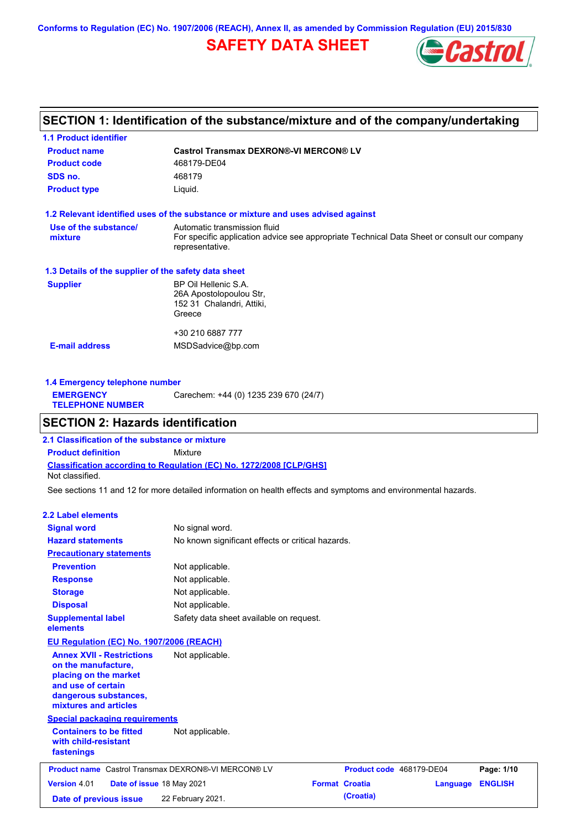**Conforms to Regulation (EC) No. 1907/2006 (REACH), Annex II, as amended by Commission Regulation (EU) 2015/830**

# **SAFETY DATA SHEET**



# **SECTION 1: Identification of the substance/mixture and of the company/undertaking**

| <b>1.1 Product identifier</b>                        |                                                                                                                                                |
|------------------------------------------------------|------------------------------------------------------------------------------------------------------------------------------------------------|
| <b>Product name</b>                                  | <b>Castrol Transmax DEXRON®-VI MERCON® LV</b>                                                                                                  |
| <b>Product code</b>                                  | 468179-DE04                                                                                                                                    |
| SDS no.                                              | 468179                                                                                                                                         |
| <b>Product type</b>                                  | Liquid.                                                                                                                                        |
|                                                      | 1.2 Relevant identified uses of the substance or mixture and uses advised against                                                              |
| Use of the substance/<br>mixture                     | Automatic transmission fluid<br>For specific application advice see appropriate Technical Data Sheet or consult our company<br>representative. |
| 1.3 Details of the supplier of the safety data sheet |                                                                                                                                                |
| <b>Supplier</b>                                      | BP Oil Hellenic S.A.<br>26A Apostolopoulou Str,<br>152 31 Chalandri, Attiki,<br>Greece                                                         |
|                                                      | +30 210 6887 777                                                                                                                               |
| <b>E-mail address</b>                                | MSDSadvice@bp.com                                                                                                                              |
|                                                      |                                                                                                                                                |

| 1.4 Emergency telephone number              |                                       |
|---------------------------------------------|---------------------------------------|
| <b>EMERGENCY</b><br><b>TELEPHONE NUMBER</b> | Carechem: +44 (0) 1235 239 670 (24/7) |
|                                             |                                       |

# **SECTION 2: Hazards identification**

**Classification according to Regulation (EC) No. 1272/2008 [CLP/GHS] 2.1 Classification of the substance or mixture Product definition** Mixture Not classified.

See sections 11 and 12 for more detailed information on health effects and symptoms and environmental hazards.

### **2.2 Label elements**

| <b>Signal word</b><br>No signal word.<br><b>Hazard statements</b><br>No known significant effects or critical hazards.<br><b>Precautionary statements</b><br><b>Prevention</b><br>Not applicable.<br>Not applicable.<br><b>Response</b><br>Not applicable.<br><b>Storage</b><br>Not applicable.<br><b>Disposal</b><br><b>Supplemental label</b><br>Safety data sheet available on request. |                |
|--------------------------------------------------------------------------------------------------------------------------------------------------------------------------------------------------------------------------------------------------------------------------------------------------------------------------------------------------------------------------------------------|----------------|
|                                                                                                                                                                                                                                                                                                                                                                                            |                |
|                                                                                                                                                                                                                                                                                                                                                                                            |                |
|                                                                                                                                                                                                                                                                                                                                                                                            |                |
|                                                                                                                                                                                                                                                                                                                                                                                            |                |
|                                                                                                                                                                                                                                                                                                                                                                                            |                |
|                                                                                                                                                                                                                                                                                                                                                                                            |                |
|                                                                                                                                                                                                                                                                                                                                                                                            |                |
| elements                                                                                                                                                                                                                                                                                                                                                                                   |                |
| <b>EU Regulation (EC) No. 1907/2006 (REACH)</b>                                                                                                                                                                                                                                                                                                                                            |                |
| <b>Annex XVII - Restrictions</b><br>Not applicable.<br>on the manufacture.<br>placing on the market<br>and use of certain<br>dangerous substances,<br>mixtures and articles                                                                                                                                                                                                                |                |
| <b>Special packaging requirements</b>                                                                                                                                                                                                                                                                                                                                                      |                |
| <b>Containers to be fitted</b><br>Not applicable.<br>with child-resistant<br>fastenings                                                                                                                                                                                                                                                                                                    |                |
| <b>Product name</b> Castrol Transmax DEXRON®-VI MERCON® LV<br>Product code 468179-DE04                                                                                                                                                                                                                                                                                                     | Page: 1/10     |
| <b>Format Croatia</b><br><b>Version 4.01</b><br>Date of issue 18 May 2021<br>Language                                                                                                                                                                                                                                                                                                      | <b>ENGLISH</b> |
| (Croatia)<br>22 February 2021.<br>Date of previous issue                                                                                                                                                                                                                                                                                                                                   |                |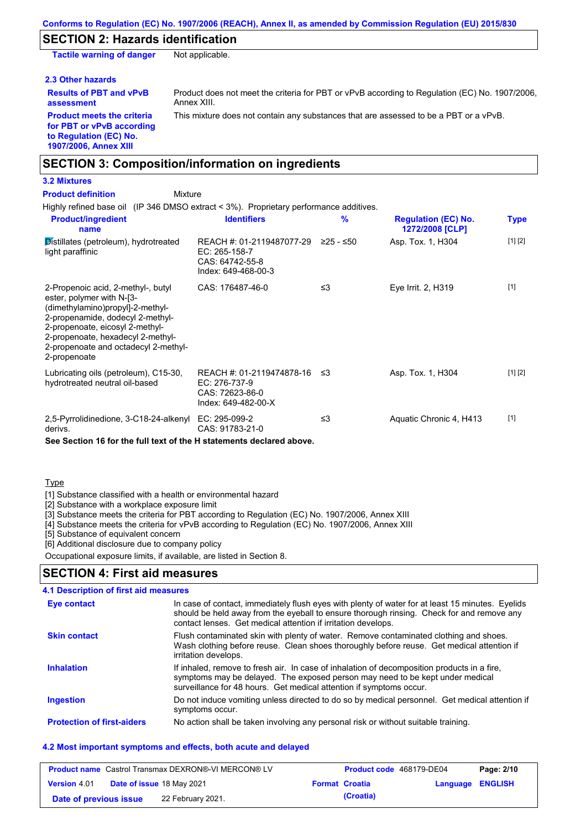## **SECTION 2: Hazards identification**

**Tactile warning of danger** Not applicable.

### **2.3 Other hazards**

**Results of PBT and vPvB assessment**

Product does not meet the criteria for PBT or vPvB according to Regulation (EC) No. 1907/2006, Annex XIII.

**Product meets the criteria for PBT or vPvB according to Regulation (EC) No. 1907/2006, Annex XIII**

This mixture does not contain any substances that are assessed to be a PBT or a vPvB.

## **SECTION 3: Composition/information on ingredients**

## **3.2 Mixtures**

Highly refined base oil (IP 346 DMSO extract < 3%). Proprietary performance additives. Distillates (petroleum), hydrotreated light paraffinic REACH #: 01-2119487077-29 EC: 265-158-7 CAS: 64742-55-8 Index: 649-468-00-3 ≥25 - ≤50 Asp. Tox. 1, H304 [1] [2] 2-Propenoic acid, 2-methyl-, butyl ester, polymer with N-[3- (dimethylamino)propyl]-2-methyl-2-propenamide, dodecyl 2-methyl-2-propenoate, eicosyl 2-methyl-2-propenoate, hexadecyl 2-methyl-2-propenoate and octadecyl 2-methyl-2-propenoate CAS: 176487-46-0 ≤3 Eye Irrit. 2, H319 [1] Lubricating oils (petroleum), C15-30, hydrotreated neutral oil-based REACH #: 01-2119474878-16 EC: 276-737-9 CAS: 72623-86-0 Index: 649-482-00-X Asp. Tox. 1, H304 [1] [2] 2,5-Pyrrolidinedione, 3-C18-24-alkenyl EC: 295-099-2 derivs. CAS: 91783-21-0 ≤3 Aquatic Chronic 4, H413 [1] **Product/ingredient name % Regulation (EC) No. Identifiers Type 1272/2008 [CLP]** Mixture **Product definition**

**See Section 16 for the full text of the H statements declared above.**

### Type

[1] Substance classified with a health or environmental hazard

[2] Substance with a workplace exposure limit

[3] Substance meets the criteria for PBT according to Regulation (EC) No. 1907/2006, Annex XIII

[4] Substance meets the criteria for vPvB according to Regulation (EC) No. 1907/2006, Annex XIII

[5] Substance of equivalent concern

[6] Additional disclosure due to company policy

Occupational exposure limits, if available, are listed in Section 8.

## **SECTION 4: First aid measures**

## **4.1 Description of first aid measures**

| Eye contact                       | In case of contact, immediately flush eyes with plenty of water for at least 15 minutes. Eyelids<br>should be held away from the eyeball to ensure thorough rinsing. Check for and remove any<br>contact lenses. Get medical attention if irritation develops. |
|-----------------------------------|----------------------------------------------------------------------------------------------------------------------------------------------------------------------------------------------------------------------------------------------------------------|
| <b>Skin contact</b>               | Flush contaminated skin with plenty of water. Remove contaminated clothing and shoes.<br>Wash clothing before reuse. Clean shoes thoroughly before reuse. Get medical attention if<br>irritation develops.                                                     |
| <b>Inhalation</b>                 | If inhaled, remove to fresh air. In case of inhalation of decomposition products in a fire,<br>symptoms may be delayed. The exposed person may need to be kept under medical<br>surveillance for 48 hours. Get medical attention if symptoms occur.            |
| <b>Ingestion</b>                  | Do not induce vomiting unless directed to do so by medical personnel. Get medical attention if<br>symptoms occur.                                                                                                                                              |
| <b>Protection of first-aiders</b> | No action shall be taken involving any personal risk or without suitable training.                                                                                                                                                                             |

### **4.2 Most important symptoms and effects, both acute and delayed**

|                        | <b>Product name</b> Castrol Transmax DEXRON®-VI MERCON® LV | <b>Product code</b> 468179-DE04 |                         | Page: 2/10 |
|------------------------|------------------------------------------------------------|---------------------------------|-------------------------|------------|
| <b>Version</b> 4.01    | Date of issue 18 May 2021                                  | <b>Format Croatia</b>           | <b>Language ENGLISH</b> |            |
| Date of previous issue | 22 February 2021.                                          | (Croatia)                       |                         |            |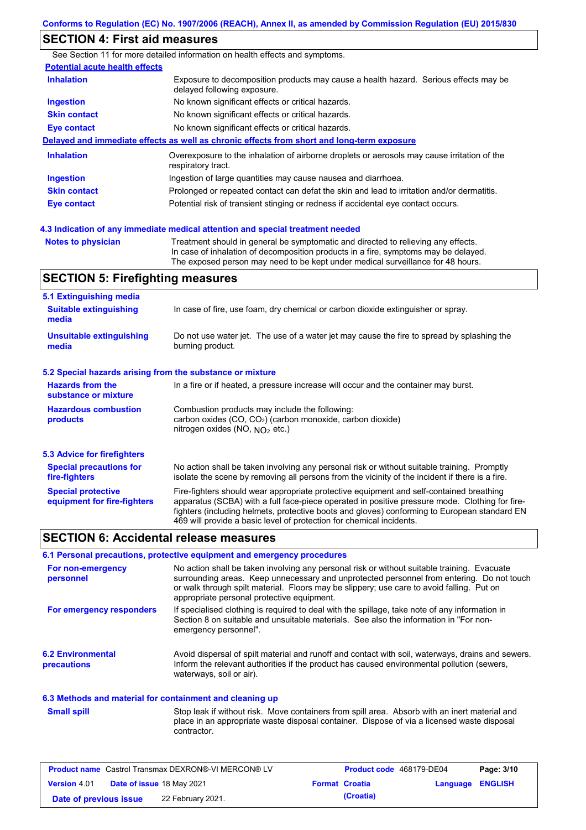# **SECTION 4: First aid measures**

|                                       | See Section 11 for more detailed information on health effects and symptoms.                                        |
|---------------------------------------|---------------------------------------------------------------------------------------------------------------------|
| <b>Potential acute health effects</b> |                                                                                                                     |
| <b>Inhalation</b>                     | Exposure to decomposition products may cause a health hazard. Serious effects may be<br>delayed following exposure. |
| <b>Ingestion</b>                      | No known significant effects or critical hazards.                                                                   |
| <b>Skin contact</b>                   | No known significant effects or critical hazards.                                                                   |
| <b>Eye contact</b>                    | No known significant effects or critical hazards.                                                                   |
|                                       | Delayed and immediate effects as well as chronic effects from short and long-term exposure                          |
| <b>Inhalation</b>                     | Overexposure to the inhalation of airborne droplets or aerosols may cause irritation of the<br>respiratory tract.   |
| <b>Ingestion</b>                      | Ingestion of large quantities may cause nausea and diarrhoea.                                                       |
| <b>Skin contact</b>                   | Prolonged or repeated contact can defat the skin and lead to irritation and/or dermatitis.                          |
| Eye contact                           | Potential risk of transient stinging or redness if accidental eye contact occurs.                                   |
|                                       |                                                                                                                     |

**4.3 Indication of any immediate medical attention and special treatment needed**

**Notes to physician** Treatment should in general be symptomatic and directed to relieving any effects. In case of inhalation of decomposition products in a fire, symptoms may be delayed. The exposed person may need to be kept under medical surveillance for 48 hours.

# **SECTION 5: Firefighting measures**

| 5.1 Extinguishing media                                                                                                                                                                                           |                                                                                                                                                                                                                                                                                                                                                                   |  |  |
|-------------------------------------------------------------------------------------------------------------------------------------------------------------------------------------------------------------------|-------------------------------------------------------------------------------------------------------------------------------------------------------------------------------------------------------------------------------------------------------------------------------------------------------------------------------------------------------------------|--|--|
| <b>Suitable extinguishing</b><br>media                                                                                                                                                                            | In case of fire, use foam, dry chemical or carbon dioxide extinguisher or spray.                                                                                                                                                                                                                                                                                  |  |  |
| <b>Unsuitable extinguishing</b><br>media                                                                                                                                                                          | Do not use water jet. The use of a water jet may cause the fire to spread by splashing the<br>burning product.                                                                                                                                                                                                                                                    |  |  |
| 5.2 Special hazards arising from the substance or mixture                                                                                                                                                         |                                                                                                                                                                                                                                                                                                                                                                   |  |  |
| <b>Hazards from the</b><br>substance or mixture                                                                                                                                                                   | In a fire or if heated, a pressure increase will occur and the container may burst.                                                                                                                                                                                                                                                                               |  |  |
| <b>Hazardous combustion</b><br>Combustion products may include the following:<br>carbon oxides (CO, CO <sub>2</sub> ) (carbon monoxide, carbon dioxide)<br>products<br>nitrogen oxides (NO, NO <sub>2</sub> etc.) |                                                                                                                                                                                                                                                                                                                                                                   |  |  |
| 5.3 Advice for firefighters                                                                                                                                                                                       |                                                                                                                                                                                                                                                                                                                                                                   |  |  |
| <b>Special precautions for</b><br>fire-fighters                                                                                                                                                                   | No action shall be taken involving any personal risk or without suitable training. Promptly<br>isolate the scene by removing all persons from the vicinity of the incident if there is a fire.                                                                                                                                                                    |  |  |
| <b>Special protective</b><br>equipment for fire-fighters                                                                                                                                                          | Fire-fighters should wear appropriate protective equipment and self-contained breathing<br>apparatus (SCBA) with a full face-piece operated in positive pressure mode. Clothing for fire-<br>fighters (including helmets, protective boots and gloves) conforming to European standard EN<br>469 will provide a basic level of protection for chemical incidents. |  |  |

## **SECTION 6: Accidental release measures**

### **6.1 Personal precautions, protective equipment and emergency procedures**

| For non-emergency<br>personnel          | No action shall be taken involving any personal risk or without suitable training. Evacuate<br>surrounding areas. Keep unnecessary and unprotected personnel from entering. Do not touch<br>or walk through spilt material. Floors may be slippery; use care to avoid falling. Put on<br>appropriate personal protective equipment. |
|-----------------------------------------|-------------------------------------------------------------------------------------------------------------------------------------------------------------------------------------------------------------------------------------------------------------------------------------------------------------------------------------|
| For emergency responders                | If specialised clothing is required to deal with the spillage, take note of any information in<br>Section 8 on suitable and unsuitable materials. See also the information in "For non-<br>emergency personnel".                                                                                                                    |
| <b>6.2 Environmental</b><br>precautions | Avoid dispersal of spilt material and runoff and contact with soil, waterways, drains and sewers.<br>Inform the relevant authorities if the product has caused environmental pollution (sewers,<br>waterways, soil or air).                                                                                                         |

### **6.3 Methods and material for containment and cleaning up**

Stop leak if without risk. Move containers from spill area. Absorb with an inert material and place in an appropriate waste disposal container. Dispose of via a licensed waste disposal contractor. **Small spill**

|                        | <b>Product name</b> Castrol Transmax DEXRON®-VI MERCON® LV | Product code 468179-DE04 |                         | Page: 3/10 |
|------------------------|------------------------------------------------------------|--------------------------|-------------------------|------------|
| <b>Version 4.01</b>    | <b>Date of issue 18 May 2021</b>                           | <b>Format Croatia</b>    | <b>Language ENGLISH</b> |            |
| Date of previous issue | 22 February 2021.                                          | (Croatia)                |                         |            |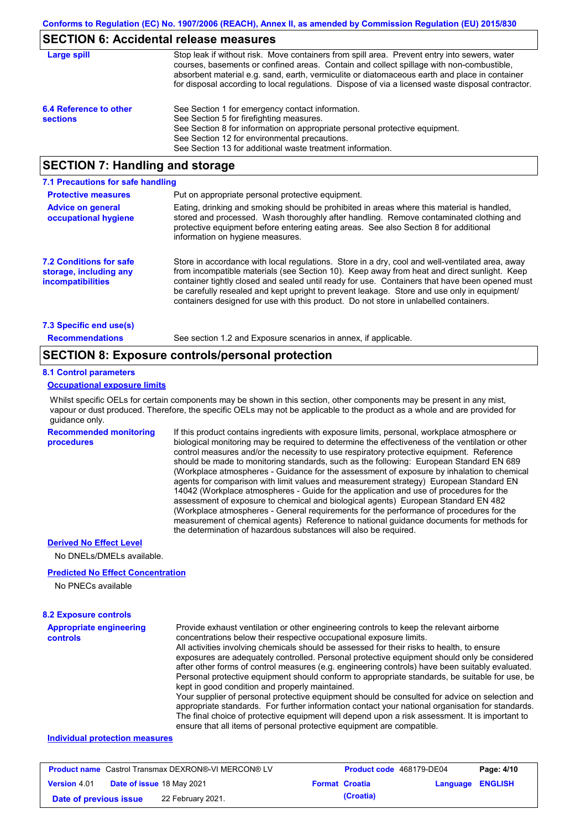## **SECTION 6: Accidental release measures**

| Large spill                               | Stop leak if without risk. Move containers from spill area. Prevent entry into sewers, water<br>courses, basements or confined areas. Contain and collect spillage with non-combustible,<br>absorbent material e.g. sand, earth, vermiculite or diatomaceous earth and place in container<br>for disposal according to local regulations. Dispose of via a licensed waste disposal contractor. |
|-------------------------------------------|------------------------------------------------------------------------------------------------------------------------------------------------------------------------------------------------------------------------------------------------------------------------------------------------------------------------------------------------------------------------------------------------|
| 6.4 Reference to other<br><b>sections</b> | See Section 1 for emergency contact information.<br>See Section 5 for firefighting measures.<br>See Section 8 for information on appropriate personal protective equipment.<br>See Section 12 for environmental precautions.<br>See Section 13 for additional waste treatment information.                                                                                                     |

## **SECTION 7: Handling and storage**

| 7.1 Precautions for safe handling                                             |                                                                                                                                                                                                                                                                                                                                                                                                                                                                                          |
|-------------------------------------------------------------------------------|------------------------------------------------------------------------------------------------------------------------------------------------------------------------------------------------------------------------------------------------------------------------------------------------------------------------------------------------------------------------------------------------------------------------------------------------------------------------------------------|
| <b>Protective measures</b>                                                    | Put on appropriate personal protective equipment.                                                                                                                                                                                                                                                                                                                                                                                                                                        |
| <b>Advice on general</b><br>occupational hygiene                              | Eating, drinking and smoking should be prohibited in areas where this material is handled.<br>stored and processed. Wash thoroughly after handling. Remove contaminated clothing and<br>protective equipment before entering eating areas. See also Section 8 for additional<br>information on hygiene measures.                                                                                                                                                                         |
| <b>7.2 Conditions for safe</b><br>storage, including any<br>incompatibilities | Store in accordance with local requiations. Store in a dry, cool and well-ventilated area, away<br>from incompatible materials (see Section 10). Keep away from heat and direct sunlight. Keep<br>container tightly closed and sealed until ready for use. Containers that have been opened must<br>be carefully resealed and kept upright to prevent leakage. Store and use only in equipment/<br>containers designed for use with this product. Do not store in unlabelled containers. |
| 7.3 Specific end use(s)                                                       |                                                                                                                                                                                                                                                                                                                                                                                                                                                                                          |
| <b>Recommendations</b>                                                        | See section 1.2 and Exposure scenarios in annex, if applicable.                                                                                                                                                                                                                                                                                                                                                                                                                          |

## **SECTION 8: Exposure controls/personal protection**

#### **8.1 Control parameters**

## **Occupational exposure limits**

Whilst specific OELs for certain components may be shown in this section, other components may be present in any mist, vapour or dust produced. Therefore, the specific OELs may not be applicable to the product as a whole and are provided for guidance only.

**Recommended monitoring procedures**

If this product contains ingredients with exposure limits, personal, workplace atmosphere or biological monitoring may be required to determine the effectiveness of the ventilation or other control measures and/or the necessity to use respiratory protective equipment. Reference should be made to monitoring standards, such as the following: European Standard EN 689 (Workplace atmospheres - Guidance for the assessment of exposure by inhalation to chemical agents for comparison with limit values and measurement strategy) European Standard EN 14042 (Workplace atmospheres - Guide for the application and use of procedures for the assessment of exposure to chemical and biological agents) European Standard EN 482 (Workplace atmospheres - General requirements for the performance of procedures for the measurement of chemical agents) Reference to national guidance documents for methods for the determination of hazardous substances will also be required.

#### **Derived No Effect Level**

No DNELs/DMELs available.

#### **Predicted No Effect Concentration**

No PNECs available

## **8.2 Exposure controls**

| <b>Appropriate engineering</b> | Provide exhaust ventilation or other engineering controls to keep the relevant airborne          |
|--------------------------------|--------------------------------------------------------------------------------------------------|
| controls                       | concentrations below their respective occupational exposure limits.                              |
|                                | All activities involving chemicals should be assessed for their risks to health, to ensure       |
|                                | exposures are adequately controlled. Personal protective equipment should only be considered     |
|                                | after other forms of control measures (e.g. engineering controls) have been suitably evaluated.  |
|                                | Personal protective equipment should conform to appropriate standards, be suitable for use, be   |
|                                | kept in good condition and properly maintained.                                                  |
|                                | Your supplier of personal protective equipment should be consulted for advice on selection and   |
|                                | appropriate standards. For further information contact your national organisation for standards. |
|                                | The final choice of protective equipment will depend upon a risk assessment. It is important to  |
|                                | ensure that all items of personal protective equipment are compatible.                           |

### **Individual protection measures**

| <b>Product name</b> Castrol Transmax DEXRON®-VI MERCON® LV |  |                           | <b>Product code</b> 468179-DE04 |                         | Page: 4/10 |
|------------------------------------------------------------|--|---------------------------|---------------------------------|-------------------------|------------|
| <b>Version 4.01</b>                                        |  | Date of issue 18 May 2021 | <b>Format Croatia</b>           | <b>Language ENGLISH</b> |            |
| Date of previous issue                                     |  | 22 February 2021.         | (Croatia)                       |                         |            |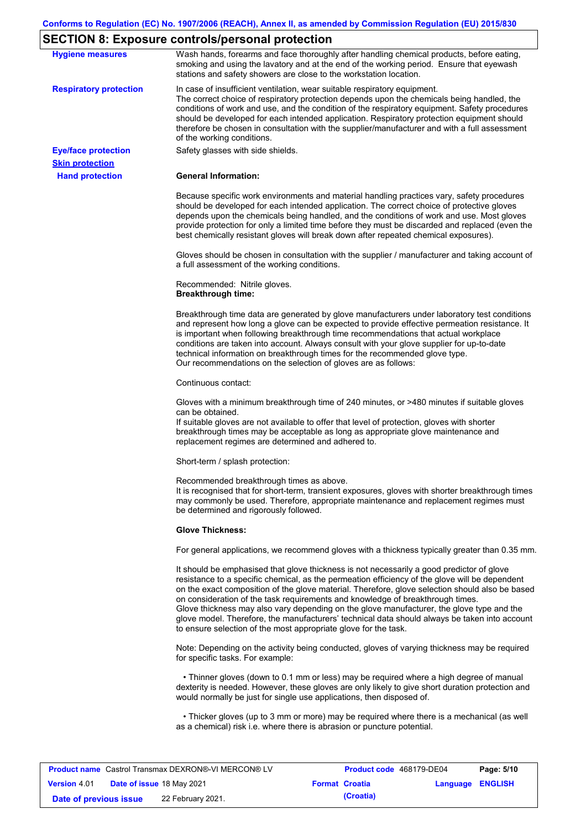# **SECTION 8: Exposure controls/personal protection**

|                               | <b></b>                                                                                                                                                                                                                                                                                                                                                                                                                                                                                                                                                                                                                                           |
|-------------------------------|---------------------------------------------------------------------------------------------------------------------------------------------------------------------------------------------------------------------------------------------------------------------------------------------------------------------------------------------------------------------------------------------------------------------------------------------------------------------------------------------------------------------------------------------------------------------------------------------------------------------------------------------------|
| <b>Hygiene measures</b>       | Wash hands, forearms and face thoroughly after handling chemical products, before eating,<br>smoking and using the lavatory and at the end of the working period. Ensure that eyewash<br>stations and safety showers are close to the workstation location.                                                                                                                                                                                                                                                                                                                                                                                       |
| <b>Respiratory protection</b> | In case of insufficient ventilation, wear suitable respiratory equipment.<br>The correct choice of respiratory protection depends upon the chemicals being handled, the<br>conditions of work and use, and the condition of the respiratory equipment. Safety procedures<br>should be developed for each intended application. Respiratory protection equipment should<br>therefore be chosen in consultation with the supplier/manufacturer and with a full assessment<br>of the working conditions.                                                                                                                                             |
| <b>Eye/face protection</b>    | Safety glasses with side shields.                                                                                                                                                                                                                                                                                                                                                                                                                                                                                                                                                                                                                 |
| <b>Skin protection</b>        |                                                                                                                                                                                                                                                                                                                                                                                                                                                                                                                                                                                                                                                   |
| <b>Hand protection</b>        | <b>General Information:</b>                                                                                                                                                                                                                                                                                                                                                                                                                                                                                                                                                                                                                       |
|                               | Because specific work environments and material handling practices vary, safety procedures<br>should be developed for each intended application. The correct choice of protective gloves<br>depends upon the chemicals being handled, and the conditions of work and use. Most gloves<br>provide protection for only a limited time before they must be discarded and replaced (even the<br>best chemically resistant gloves will break down after repeated chemical exposures).                                                                                                                                                                  |
|                               | Gloves should be chosen in consultation with the supplier / manufacturer and taking account of<br>a full assessment of the working conditions.                                                                                                                                                                                                                                                                                                                                                                                                                                                                                                    |
|                               | Recommended: Nitrile gloves.<br><b>Breakthrough time:</b>                                                                                                                                                                                                                                                                                                                                                                                                                                                                                                                                                                                         |
|                               | Breakthrough time data are generated by glove manufacturers under laboratory test conditions<br>and represent how long a glove can be expected to provide effective permeation resistance. It<br>is important when following breakthrough time recommendations that actual workplace<br>conditions are taken into account. Always consult with your glove supplier for up-to-date<br>technical information on breakthrough times for the recommended glove type.<br>Our recommendations on the selection of gloves are as follows:                                                                                                                |
|                               | Continuous contact:                                                                                                                                                                                                                                                                                                                                                                                                                                                                                                                                                                                                                               |
|                               | Gloves with a minimum breakthrough time of 240 minutes, or >480 minutes if suitable gloves<br>can be obtained.<br>If suitable gloves are not available to offer that level of protection, gloves with shorter<br>breakthrough times may be acceptable as long as appropriate glove maintenance and<br>replacement regimes are determined and adhered to.                                                                                                                                                                                                                                                                                          |
|                               | Short-term / splash protection:                                                                                                                                                                                                                                                                                                                                                                                                                                                                                                                                                                                                                   |
|                               | Recommended breakthrough times as above.<br>It is recognised that for short-term, transient exposures, gloves with shorter breakthrough times<br>may commonly be used. Therefore, appropriate maintenance and replacement regimes must<br>be determined and rigorously followed.                                                                                                                                                                                                                                                                                                                                                                  |
|                               | <b>Glove Thickness:</b>                                                                                                                                                                                                                                                                                                                                                                                                                                                                                                                                                                                                                           |
|                               | For general applications, we recommend gloves with a thickness typically greater than 0.35 mm.                                                                                                                                                                                                                                                                                                                                                                                                                                                                                                                                                    |
|                               | It should be emphasised that glove thickness is not necessarily a good predictor of glove<br>resistance to a specific chemical, as the permeation efficiency of the glove will be dependent<br>on the exact composition of the glove material. Therefore, glove selection should also be based<br>on consideration of the task requirements and knowledge of breakthrough times.<br>Glove thickness may also vary depending on the glove manufacturer, the glove type and the<br>glove model. Therefore, the manufacturers' technical data should always be taken into account<br>to ensure selection of the most appropriate glove for the task. |
|                               | Note: Depending on the activity being conducted, gloves of varying thickness may be required<br>for specific tasks. For example:                                                                                                                                                                                                                                                                                                                                                                                                                                                                                                                  |
|                               | • Thinner gloves (down to 0.1 mm or less) may be required where a high degree of manual<br>dexterity is needed. However, these gloves are only likely to give short duration protection and<br>would normally be just for single use applications, then disposed of.                                                                                                                                                                                                                                                                                                                                                                              |
|                               | • Thicker gloves (up to 3 mm or more) may be required where there is a mechanical (as well<br>as a chemical) risk i.e. where there is abrasion or puncture potential.                                                                                                                                                                                                                                                                                                                                                                                                                                                                             |
|                               |                                                                                                                                                                                                                                                                                                                                                                                                                                                                                                                                                                                                                                                   |

|                        |                                  | <b>Product name</b> Castrol Transmax DEXRON®-VI MERCON® LV | Product code 468179-DE04 |                         | Page: 5/10 |
|------------------------|----------------------------------|------------------------------------------------------------|--------------------------|-------------------------|------------|
| <b>Version 4.01</b>    | <b>Date of issue 18 May 2021</b> |                                                            | <b>Format Croatia</b>    | <b>Language ENGLISH</b> |            |
| Date of previous issue |                                  | 22 February 2021.                                          | (Croatia)                |                         |            |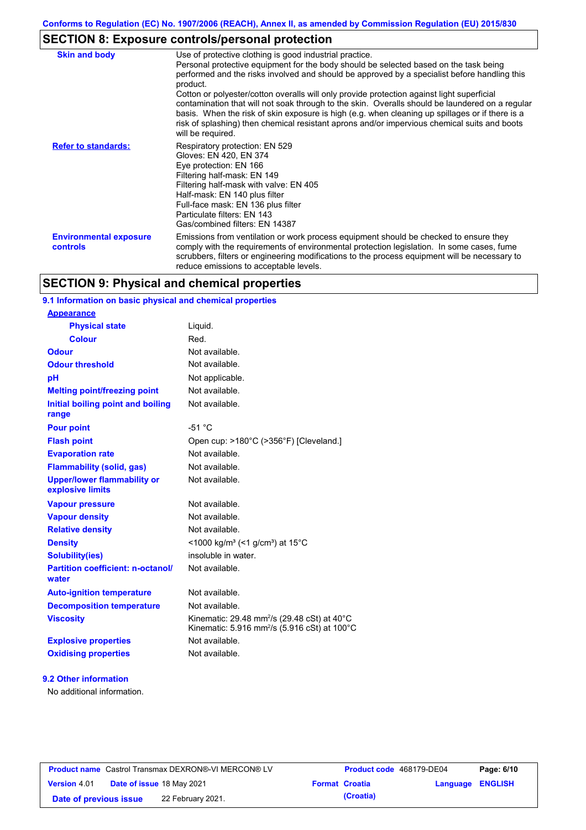# **SECTION 8: Exposure controls/personal protection**

| <b>Skin and body</b>                      | Use of protective clothing is good industrial practice.<br>Personal protective equipment for the body should be selected based on the task being<br>performed and the risks involved and should be approved by a specialist before handling this<br>product.<br>Cotton or polyester/cotton overalls will only provide protection against light superficial<br>contamination that will not soak through to the skin. Overalls should be laundered on a regular<br>basis. When the risk of skin exposure is high (e.g. when cleaning up spillages or if there is a<br>risk of splashing) then chemical resistant aprons and/or impervious chemical suits and boots<br>will be required. |
|-------------------------------------------|---------------------------------------------------------------------------------------------------------------------------------------------------------------------------------------------------------------------------------------------------------------------------------------------------------------------------------------------------------------------------------------------------------------------------------------------------------------------------------------------------------------------------------------------------------------------------------------------------------------------------------------------------------------------------------------|
| <b>Refer to standards:</b>                | Respiratory protection: EN 529<br>Gloves: EN 420, EN 374<br>Eye protection: EN 166<br>Filtering half-mask: EN 149<br>Filtering half-mask with valve: EN 405<br>Half-mask: EN 140 plus filter<br>Full-face mask: EN 136 plus filter<br>Particulate filters: EN 143<br>Gas/combined filters: EN 14387                                                                                                                                                                                                                                                                                                                                                                                   |
| <b>Environmental exposure</b><br>controls | Emissions from ventilation or work process equipment should be checked to ensure they<br>comply with the requirements of environmental protection legislation. In some cases, fume<br>scrubbers, filters or engineering modifications to the process equipment will be necessary to<br>reduce emissions to acceptable levels.                                                                                                                                                                                                                                                                                                                                                         |

# **SECTION 9: Physical and chemical properties**

## **9.1 Information on basic physical and chemical properties**

| <b>Appearance</b>                                      |                                                                                                                               |
|--------------------------------------------------------|-------------------------------------------------------------------------------------------------------------------------------|
| <b>Physical state</b>                                  | Liquid.                                                                                                                       |
| <b>Colour</b>                                          | Red.                                                                                                                          |
| <b>Odour</b>                                           | Not available.                                                                                                                |
| <b>Odour threshold</b>                                 | Not available.                                                                                                                |
| pH                                                     | Not applicable.                                                                                                               |
| <b>Melting point/freezing point</b>                    | Not available.                                                                                                                |
| Initial boiling point and boiling<br>range             | Not available.                                                                                                                |
| <b>Pour point</b>                                      | $-51 °C$                                                                                                                      |
| <b>Flash point</b>                                     | Open cup: >180°C (>356°F) [Cleveland.]                                                                                        |
| <b>Evaporation rate</b>                                | Not available                                                                                                                 |
| <b>Flammability (solid, gas)</b>                       | Not available.                                                                                                                |
| <b>Upper/lower flammability or</b><br>explosive limits | Not available.                                                                                                                |
| <b>Vapour pressure</b>                                 | Not available.                                                                                                                |
| <b>Vapour density</b>                                  | Not available.                                                                                                                |
| <b>Relative density</b>                                | Not available.                                                                                                                |
| <b>Density</b>                                         | <1000 kg/m <sup>3</sup> (<1 g/cm <sup>3</sup> ) at 15 <sup>°</sup> C                                                          |
| Solubility(ies)                                        | insoluble in water.                                                                                                           |
| <b>Partition coefficient: n-octanol/</b><br>water      | Not available.                                                                                                                |
| <b>Auto-ignition temperature</b>                       | Not available.                                                                                                                |
| <b>Decomposition temperature</b>                       | Not available.                                                                                                                |
| <b>Viscosity</b>                                       | Kinematic: 29.48 mm <sup>2</sup> /s (29.48 cSt) at 40 $\degree$ C<br>Kinematic: 5.916 mm <sup>2</sup> /s (5.916 cSt) at 100°C |
| <b>Explosive properties</b>                            | Not available.                                                                                                                |
| <b>Oxidising properties</b>                            | Not available.                                                                                                                |

### **9.2 Other information**

No additional information.

|                        | <b>Product name</b> Castrol Transmax DEXRON®-VI MERCON® LV | <b>Product code</b> 468179-DE04 |                         | Page: 6/10 |
|------------------------|------------------------------------------------------------|---------------------------------|-------------------------|------------|
| <b>Version 4.01</b>    | Date of issue 18 May 2021                                  | <b>Format Croatia</b>           | <b>Language ENGLISH</b> |            |
| Date of previous issue | 22 February 2021.                                          | (Croatia)                       |                         |            |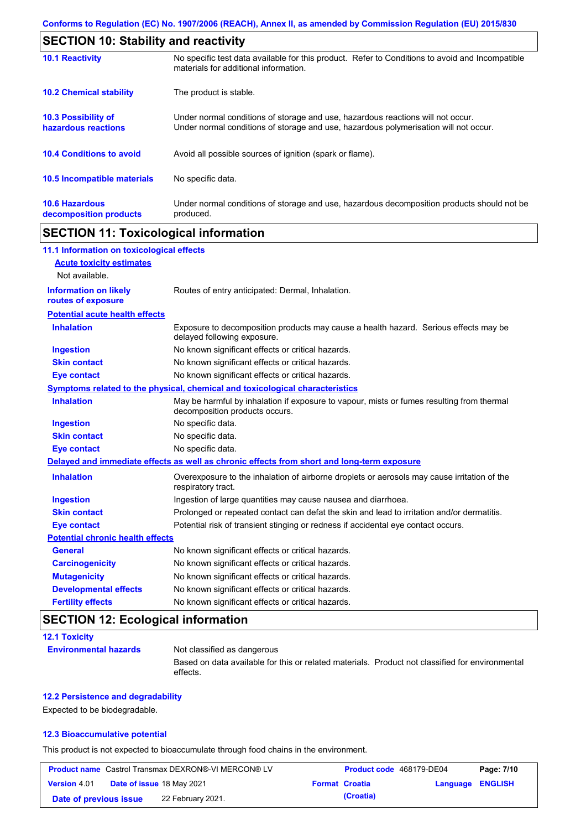| <b>SECTION 10: Stability and reactivity</b>       |                                                                                                                                                                         |  |  |
|---------------------------------------------------|-------------------------------------------------------------------------------------------------------------------------------------------------------------------------|--|--|
| <b>10.1 Reactivity</b>                            | No specific test data available for this product. Refer to Conditions to avoid and Incompatible<br>materials for additional information.                                |  |  |
| <b>10.2 Chemical stability</b>                    | The product is stable.                                                                                                                                                  |  |  |
| <b>10.3 Possibility of</b><br>hazardous reactions | Under normal conditions of storage and use, hazardous reactions will not occur.<br>Under normal conditions of storage and use, hazardous polymerisation will not occur. |  |  |
| <b>10.4 Conditions to avoid</b>                   | Avoid all possible sources of ignition (spark or flame).                                                                                                                |  |  |
| <b>10.5 Incompatible materials</b>                | No specific data.                                                                                                                                                       |  |  |
| <b>10.6 Hazardous</b><br>decomposition products   | Under normal conditions of storage and use, hazardous decomposition products should not be<br>produced.                                                                 |  |  |

# **SECTION 11: Toxicological information**

| 11.1 Information on toxicological effects |                                                                                                                             |
|-------------------------------------------|-----------------------------------------------------------------------------------------------------------------------------|
| <b>Acute toxicity estimates</b>           |                                                                                                                             |
| Not available.                            |                                                                                                                             |
| <b>Information on likely</b>              | Routes of entry anticipated: Dermal, Inhalation.                                                                            |
| routes of exposure                        |                                                                                                                             |
| <b>Potential acute health effects</b>     |                                                                                                                             |
| <b>Inhalation</b>                         | Exposure to decomposition products may cause a health hazard. Serious effects may be<br>delayed following exposure.         |
| <b>Ingestion</b>                          | No known significant effects or critical hazards.                                                                           |
| <b>Skin contact</b>                       | No known significant effects or critical hazards.                                                                           |
| <b>Eye contact</b>                        | No known significant effects or critical hazards.                                                                           |
|                                           | Symptoms related to the physical, chemical and toxicological characteristics                                                |
| <b>Inhalation</b>                         | May be harmful by inhalation if exposure to vapour, mists or fumes resulting from thermal<br>decomposition products occurs. |
| <b>Ingestion</b>                          | No specific data.                                                                                                           |
| <b>Skin contact</b>                       | No specific data.                                                                                                           |
| <b>Eye contact</b>                        | No specific data.                                                                                                           |
|                                           | Delayed and immediate effects as well as chronic effects from short and long-term exposure                                  |
| <b>Inhalation</b>                         | Overexposure to the inhalation of airborne droplets or aerosols may cause irritation of the<br>respiratory tract.           |
| <b>Ingestion</b>                          | Ingestion of large quantities may cause nausea and diarrhoea.                                                               |
| <b>Skin contact</b>                       | Prolonged or repeated contact can defat the skin and lead to irritation and/or dermatitis.                                  |
| <b>Eye contact</b>                        | Potential risk of transient stinging or redness if accidental eye contact occurs.                                           |
| <b>Potential chronic health effects</b>   |                                                                                                                             |
| <b>General</b>                            | No known significant effects or critical hazards.                                                                           |
| <b>Carcinogenicity</b>                    | No known significant effects or critical hazards.                                                                           |
| <b>Mutagenicity</b>                       | No known significant effects or critical hazards.                                                                           |
| <b>Developmental effects</b>              | No known significant effects or critical hazards.                                                                           |
| <b>Fertility effects</b>                  | No known significant effects or critical hazards.                                                                           |

# **SECTION 12: Ecological information**

| <b>12.1 Toxicity</b>         |                                                                                                             |
|------------------------------|-------------------------------------------------------------------------------------------------------------|
| <b>Environmental hazards</b> | Not classified as dangerous                                                                                 |
|                              | Based on data available for this or related materials. Product not classified for environmental<br>effects. |

### **12.2 Persistence and degradability**

Expected to be biodegradable.

### **12.3 Bioaccumulative potential**

This product is not expected to bioaccumulate through food chains in the environment.

|                        | <b>Product name</b> Castrol Transmax DEXRON®-VI MERCON® LV | Product code 468179-DE04 |                  | Page: 7/10 |
|------------------------|------------------------------------------------------------|--------------------------|------------------|------------|
| <b>Version 4.01</b>    | Date of issue 18 May 2021                                  | <b>Format Croatia</b>    | Language ENGLISH |            |
| Date of previous issue | 22 February 2021.                                          | (Croatia)                |                  |            |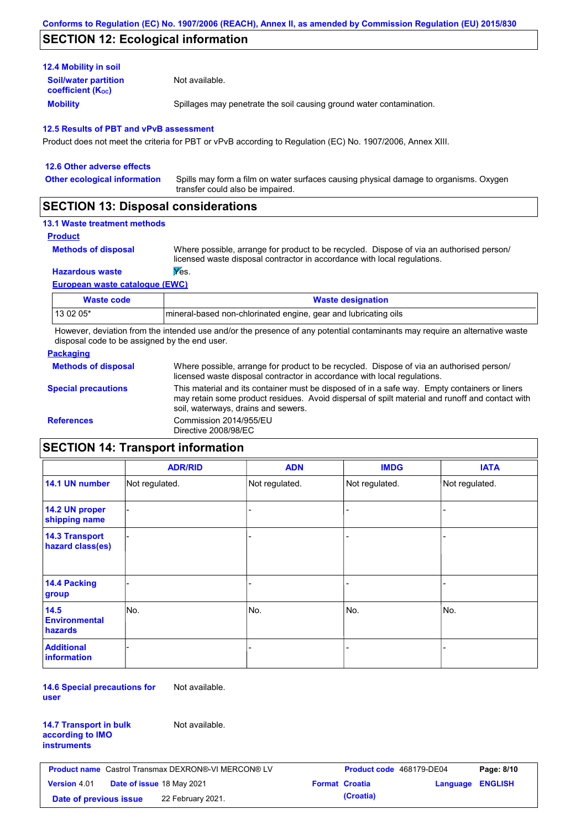# **SECTION 12: Ecological information**

| <b>12.4 Mobility in soil</b>                                  |                                                                      |
|---------------------------------------------------------------|----------------------------------------------------------------------|
| <b>Soil/water partition</b><br>coefficient (K <sub>oc</sub> ) | Not available.                                                       |
| <b>Mobility</b>                                               | Spillages may penetrate the soil causing ground water contamination. |

#### **12.5 Results of PBT and vPvB assessment**

Product does not meet the criteria for PBT or vPvB according to Regulation (EC) No. 1907/2006, Annex XIII.

| 12.6 Other adverse effects          |                                                                                                                           |
|-------------------------------------|---------------------------------------------------------------------------------------------------------------------------|
| <b>Other ecological information</b> | Spills may form a film on water surfaces causing physical damage to organisms. Oxygen<br>transfer could also be impaired. |
|                                     |                                                                                                                           |

## **SECTION 13: Disposal considerations**

## **13.1 Waste treatment methods**

```
Product
```
**Methods of disposal**

Where possible, arrange for product to be recycled. Dispose of via an authorised person/ licensed waste disposal contractor in accordance with local regulations.

### **Hazardous waste Wes.**

**European waste catalogue (EWC)**

| Waste code | <b>Waste designation</b>                                        |
|------------|-----------------------------------------------------------------|
| 13 02 05*  | mineral-based non-chlorinated engine, gear and lubricating oils |

However, deviation from the intended use and/or the presence of any potential contaminants may require an alternative waste disposal code to be assigned by the end user.

### **Packaging**

| <b>Methods of disposal</b> | Where possible, arrange for product to be recycled. Dispose of via an authorised person/<br>licensed waste disposal contractor in accordance with local regulations.                                                                    |
|----------------------------|-----------------------------------------------------------------------------------------------------------------------------------------------------------------------------------------------------------------------------------------|
| <b>Special precautions</b> | This material and its container must be disposed of in a safe way. Empty containers or liners<br>may retain some product residues. Avoid dispersal of spilt material and runoff and contact with<br>soil, waterways, drains and sewers. |
| <b>References</b>          | Commission 2014/955/EU<br>Directive 2008/98/EC                                                                                                                                                                                          |

# **SECTION 14: Transport information**

|                                           | <b>ADR/RID</b> | <b>ADN</b>     | <b>IMDG</b>    | <b>IATA</b>    |
|-------------------------------------------|----------------|----------------|----------------|----------------|
| 14.1 UN number                            | Not regulated. | Not regulated. | Not regulated. | Not regulated. |
| 14.2 UN proper<br>shipping name           |                |                | -              |                |
| <b>14.3 Transport</b><br>hazard class(es) |                |                | -              |                |
| 14.4 Packing<br>group                     |                |                |                |                |
| 14.5<br><b>Environmental</b><br>hazards   | No.            | No.            | No.            | No.            |
| <b>Additional</b><br><b>information</b>   |                |                |                |                |

**14.6 Special precautions for user** Not available.

| <b>14.7 Transport in bulk</b> |  |
|-------------------------------|--|
| according to IMO              |  |
| instruments                   |  |

Not available.

| <b>Product name</b> Castrol Transmax DEXRON®-VI MERCON® LV |  | <b>Product code</b> 468179-DE04  |  | Page: 8/10            |                  |  |
|------------------------------------------------------------|--|----------------------------------|--|-----------------------|------------------|--|
| <b>Version 4.01</b>                                        |  | <b>Date of issue 18 May 2021</b> |  | <b>Format Croatia</b> | Language ENGLISH |  |
| Date of previous issue                                     |  | 22 February 2021.                |  | (Croatia)             |                  |  |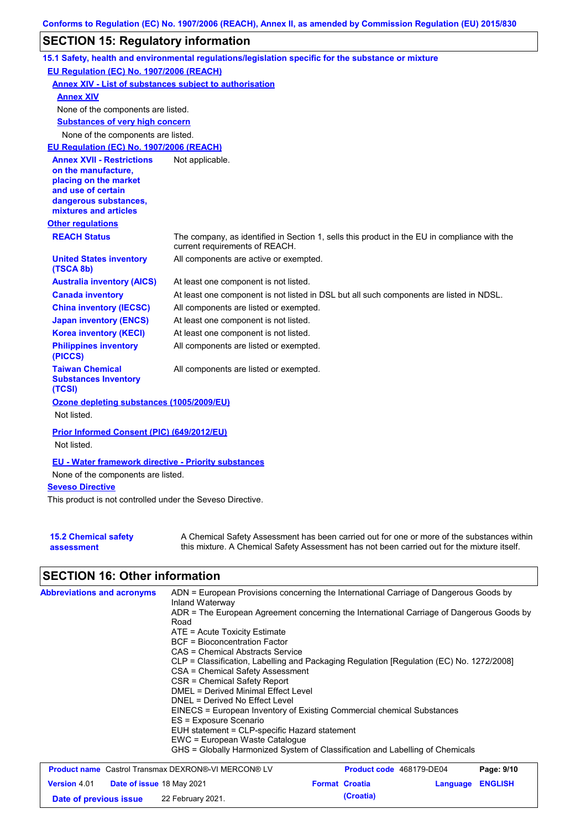## **SECTION 15: Regulatory information**

|                                                                                                                                                          | 15.1 Safety, health and environmental regulations/legislation specific for the substance or mixture                            |
|----------------------------------------------------------------------------------------------------------------------------------------------------------|--------------------------------------------------------------------------------------------------------------------------------|
| EU Regulation (EC) No. 1907/2006 (REACH)                                                                                                                 |                                                                                                                                |
| <b>Annex XIV - List of substances subject to authorisation</b>                                                                                           |                                                                                                                                |
| <b>Annex XIV</b>                                                                                                                                         |                                                                                                                                |
| None of the components are listed.                                                                                                                       |                                                                                                                                |
| <b>Substances of very high concern</b>                                                                                                                   |                                                                                                                                |
| None of the components are listed.                                                                                                                       |                                                                                                                                |
| EU Regulation (EC) No. 1907/2006 (REACH)                                                                                                                 |                                                                                                                                |
| <b>Annex XVII - Restrictions</b><br>on the manufacture,<br>placing on the market<br>and use of certain<br>dangerous substances,<br>mixtures and articles | Not applicable.                                                                                                                |
| <b>Other regulations</b>                                                                                                                                 |                                                                                                                                |
| <b>REACH Status</b>                                                                                                                                      | The company, as identified in Section 1, sells this product in the EU in compliance with the<br>current requirements of REACH. |
| <b>United States inventory</b><br>(TSCA 8b)                                                                                                              | All components are active or exempted.                                                                                         |
| <b>Australia inventory (AICS)</b>                                                                                                                        | At least one component is not listed.                                                                                          |
| <b>Canada inventory</b>                                                                                                                                  | At least one component is not listed in DSL but all such components are listed in NDSL.                                        |
| <b>China inventory (IECSC)</b>                                                                                                                           | All components are listed or exempted.                                                                                         |
| <b>Japan inventory (ENCS)</b>                                                                                                                            | At least one component is not listed.                                                                                          |
| <b>Korea inventory (KECI)</b>                                                                                                                            | At least one component is not listed.                                                                                          |
| <b>Philippines inventory</b><br>(PICCS)                                                                                                                  | All components are listed or exempted.                                                                                         |
| <b>Taiwan Chemical</b><br><b>Substances Inventory</b><br>(TCSI)                                                                                          | All components are listed or exempted.                                                                                         |
| Ozone depleting substances (1005/2009/EU)<br>Not listed.                                                                                                 |                                                                                                                                |
| Prior Informed Consent (PIC) (649/2012/EU)<br>Not listed.                                                                                                |                                                                                                                                |
| <b>EU - Water framework directive - Priority substances</b><br>None of the components are listed.                                                        |                                                                                                                                |
| <b>Seveso Directive</b>                                                                                                                                  |                                                                                                                                |
| This product is not controlled under the Seveso Directive.                                                                                               |                                                                                                                                |

| <b>15.2 Chemical safety</b> | A Chemical Safety Assessment has been carried out for one or more of the substances within  |
|-----------------------------|---------------------------------------------------------------------------------------------|
| assessment                  | this mixture. A Chemical Safety Assessment has not been carried out for the mixture itself. |

# **SECTION 16: Other information**

| <b>Abbreviations and acronyms</b>                          | ADN = European Provisions concerning the International Carriage of Dangerous Goods by<br>Inland Waterway<br>ADR = The European Agreement concerning the International Carriage of Dangerous Goods by<br>Road<br>$ATE = Acute Toxicity Estimate$<br><b>BCF</b> = Bioconcentration Factor<br>CAS = Chemical Abstracts Service                                                                                                  |  |                       |                                 |                |  |
|------------------------------------------------------------|------------------------------------------------------------------------------------------------------------------------------------------------------------------------------------------------------------------------------------------------------------------------------------------------------------------------------------------------------------------------------------------------------------------------------|--|-----------------------|---------------------------------|----------------|--|
|                                                            | CLP = Classification, Labelling and Packaging Regulation [Regulation (EC) No. 1272/2008]<br>CSA = Chemical Safety Assessment<br>CSR = Chemical Safety Report<br>DMEL = Derived Minimal Effect Level<br>DNEL = Derived No Effect Level<br>EINECS = European Inventory of Existing Commercial chemical Substances<br>ES = Exposure Scenario<br>EUH statement = CLP-specific Hazard statement<br>EWC = European Waste Catalogue |  |                       |                                 |                |  |
|                                                            | GHS = Globally Harmonized System of Classification and Labelling of Chemicals                                                                                                                                                                                                                                                                                                                                                |  |                       |                                 |                |  |
| <b>Product name</b> Castrol Transmax DEXRON®-VI MERCON® LV |                                                                                                                                                                                                                                                                                                                                                                                                                              |  |                       | <b>Product code</b> 468179-DE04 | Page: 9/10     |  |
| <b>Version 4.01</b><br><b>Date of issue 18 May 2021</b>    |                                                                                                                                                                                                                                                                                                                                                                                                                              |  | <b>Format Croatia</b> | Language                        | <b>ENGLISH</b> |  |

**Date of previous issue 22 February 2021. (Croatia) (Croatia)**